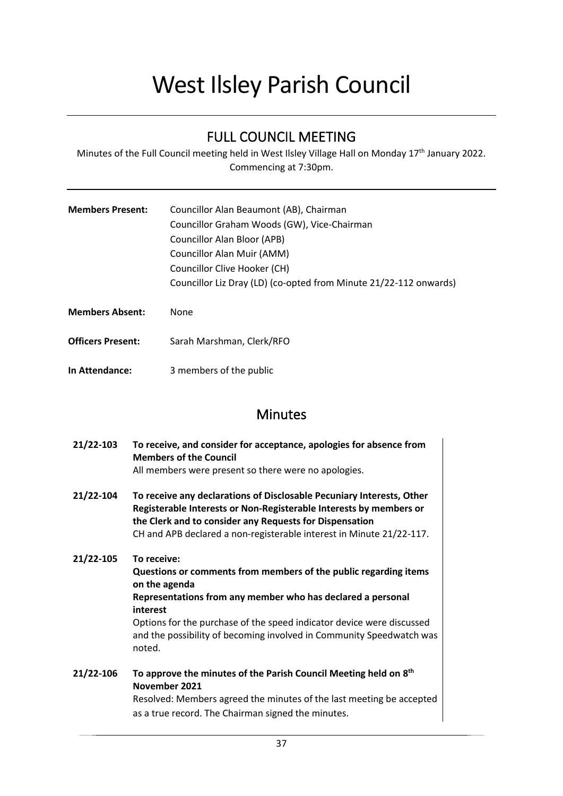# West Ilsley Parish Council

## FULL COUNCIL MEETING

Minutes of the Full Council meeting held in West Ilsley Village Hall on Monday 17<sup>th</sup> January 2022. Commencing at 7:30pm.

| <b>Members Present:</b>  | Councillor Alan Beaumont (AB), Chairman<br>Councillor Graham Woods (GW), Vice-Chairman<br>Councillor Alan Bloor (APB)<br>Councillor Alan Muir (AMM)<br>Councillor Clive Hooker (CH)<br>Councillor Liz Dray (LD) (co-opted from Minute 21/22-112 onwards) |  |
|--------------------------|----------------------------------------------------------------------------------------------------------------------------------------------------------------------------------------------------------------------------------------------------------|--|
| <b>Members Absent:</b>   | None                                                                                                                                                                                                                                                     |  |
| <b>Officers Present:</b> | Sarah Marshman, Clerk/RFO                                                                                                                                                                                                                                |  |

**In Attendance:** 3 members of the public

### Minutes

- **21/22-103 To receive, and consider for acceptance, apologies for absence from Members of the Council**  All members were present so there were no apologies.
- **21/22-104 To receive any declarations of Disclosable Pecuniary Interests, Other Registerable Interests or Non-Registerable Interests by members or the Clerk and to consider any Requests for Dispensation** CH and APB declared a non-registerable interest in Minute 21/22-117.
- **21/22-105 To receive: Questions or comments from members of the public regarding items on the agenda Representations from any member who has declared a personal interest** Options for the purchase of the speed indicator device were discussed and the possibility of becoming involved in Community Speedwatch was noted.
- **21/22-106 To approve the minutes of the Parish Council Meeting held on 8 th November 2021** Resolved: Members agreed the minutes of the last meeting be accepted as a true record. The Chairman signed the minutes.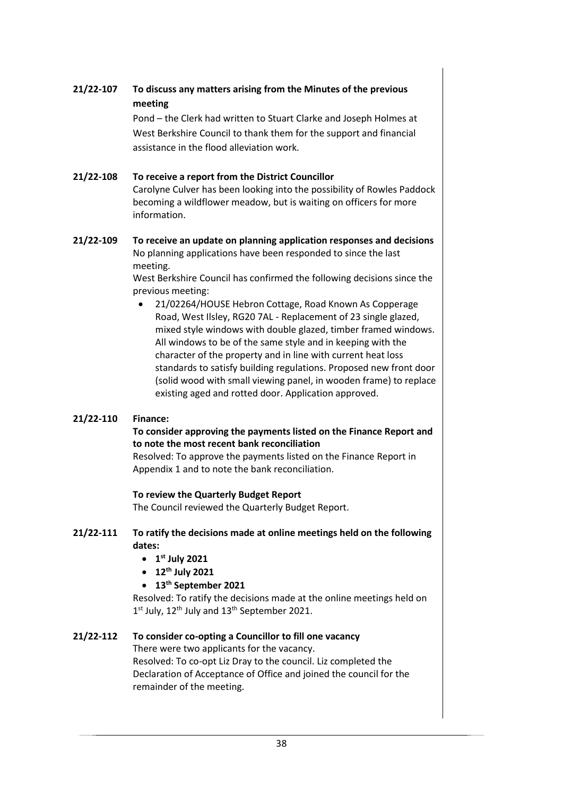#### **21/22-107 To discuss any matters arising from the Minutes of the previous meeting**

Pond – the Clerk had written to Stuart Clarke and Joseph Holmes at West Berkshire Council to thank them for the support and financial assistance in the flood alleviation work.

**21/22-108 To receive a report from the District Councillor** Carolyne Culver has been looking into the possibility of Rowles Paddock becoming a wildflower meadow, but is waiting on officers for more information.

#### **21/22-109 To receive an update on planning application responses and decisions** No planning applications have been responded to since the last meeting.

West Berkshire Council has confirmed the following decisions since the previous meeting:

• 21/02264/HOUSE Hebron Cottage, Road Known As Copperage Road, West Ilsley, RG20 7AL - Replacement of 23 single glazed, mixed style windows with double glazed, timber framed windows. All windows to be of the same style and in keeping with the character of the property and in line with current heat loss standards to satisfy building regulations. Proposed new front door (solid wood with small viewing panel, in wooden frame) to replace existing aged and rotted door. Application approved.

#### **21/22-110 Finance:**

#### **To consider approving the payments listed on the Finance Report and to note the most recent bank reconciliation**

Resolved: To approve the payments listed on the Finance Report in Appendix 1 and to note the bank reconciliation.

#### **To review the Quarterly Budget Report**

The Council reviewed the Quarterly Budget Report.

#### **21/22-111 To ratify the decisions made at online meetings held on the following dates:**

- **1 st July 2021**
- **12th July 2021**

#### • **13th September 2021**

Resolved: To ratify the decisions made at the online meetings held on  $1<sup>st</sup>$  July,  $12<sup>th</sup>$  July and  $13<sup>th</sup>$  September 2021.

#### **21/22-112 To consider co-opting a Councillor to fill one vacancy**

There were two applicants for the vacancy.

Resolved: To co-opt Liz Dray to the council. Liz completed the Declaration of Acceptance of Office and joined the council for the remainder of the meeting.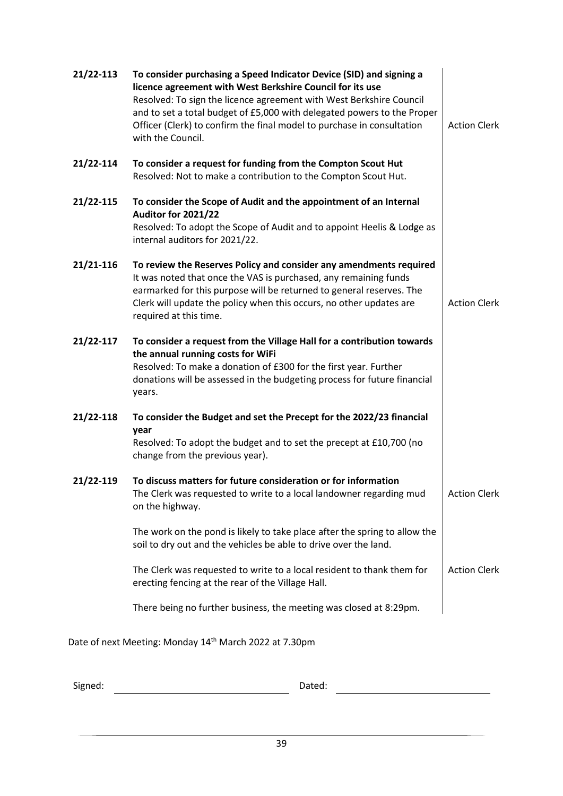| 21/22-113 | To consider purchasing a Speed Indicator Device (SID) and signing a<br>licence agreement with West Berkshire Council for its use<br>Resolved: To sign the licence agreement with West Berkshire Council<br>and to set a total budget of £5,000 with delegated powers to the Proper<br>Officer (Clerk) to confirm the final model to purchase in consultation<br>with the Council. | <b>Action Clerk</b> |
|-----------|-----------------------------------------------------------------------------------------------------------------------------------------------------------------------------------------------------------------------------------------------------------------------------------------------------------------------------------------------------------------------------------|---------------------|
| 21/22-114 | To consider a request for funding from the Compton Scout Hut<br>Resolved: Not to make a contribution to the Compton Scout Hut.                                                                                                                                                                                                                                                    |                     |
| 21/22-115 | To consider the Scope of Audit and the appointment of an Internal<br>Auditor for 2021/22<br>Resolved: To adopt the Scope of Audit and to appoint Heelis & Lodge as<br>internal auditors for 2021/22.                                                                                                                                                                              |                     |
| 21/21-116 | To review the Reserves Policy and consider any amendments required<br>It was noted that once the VAS is purchased, any remaining funds<br>earmarked for this purpose will be returned to general reserves. The<br>Clerk will update the policy when this occurs, no other updates are<br>required at this time.                                                                   | <b>Action Clerk</b> |
| 21/22-117 | To consider a request from the Village Hall for a contribution towards<br>the annual running costs for WiFi<br>Resolved: To make a donation of £300 for the first year. Further<br>donations will be assessed in the budgeting process for future financial<br>years.                                                                                                             |                     |
| 21/22-118 | To consider the Budget and set the Precept for the 2022/23 financial<br>year<br>Resolved: To adopt the budget and to set the precept at £10,700 (no<br>change from the previous year).                                                                                                                                                                                            |                     |
| 21/22-119 | To discuss matters for future consideration or for information<br>The Clerk was requested to write to a local landowner regarding mud<br>on the highway.                                                                                                                                                                                                                          | <b>Action Clerk</b> |
|           | The work on the pond is likely to take place after the spring to allow the<br>soil to dry out and the vehicles be able to drive over the land.                                                                                                                                                                                                                                    |                     |
|           | The Clerk was requested to write to a local resident to thank them for<br>erecting fencing at the rear of the Village Hall.                                                                                                                                                                                                                                                       | <b>Action Clerk</b> |
|           | There being no further business, the meeting was closed at 8:29pm.                                                                                                                                                                                                                                                                                                                |                     |
|           | Date of next Meeting: Monday 14 <sup>th</sup> March 2022 at 7.30pm                                                                                                                                                                                                                                                                                                                |                     |

Signed: Contract Contract Contract Contract Contract Contract Contract Contract Contract Contract Contract Contract Contract Contract Contract Contract Contract Contract Contract Contract Contract Contract Contract Contrac

39